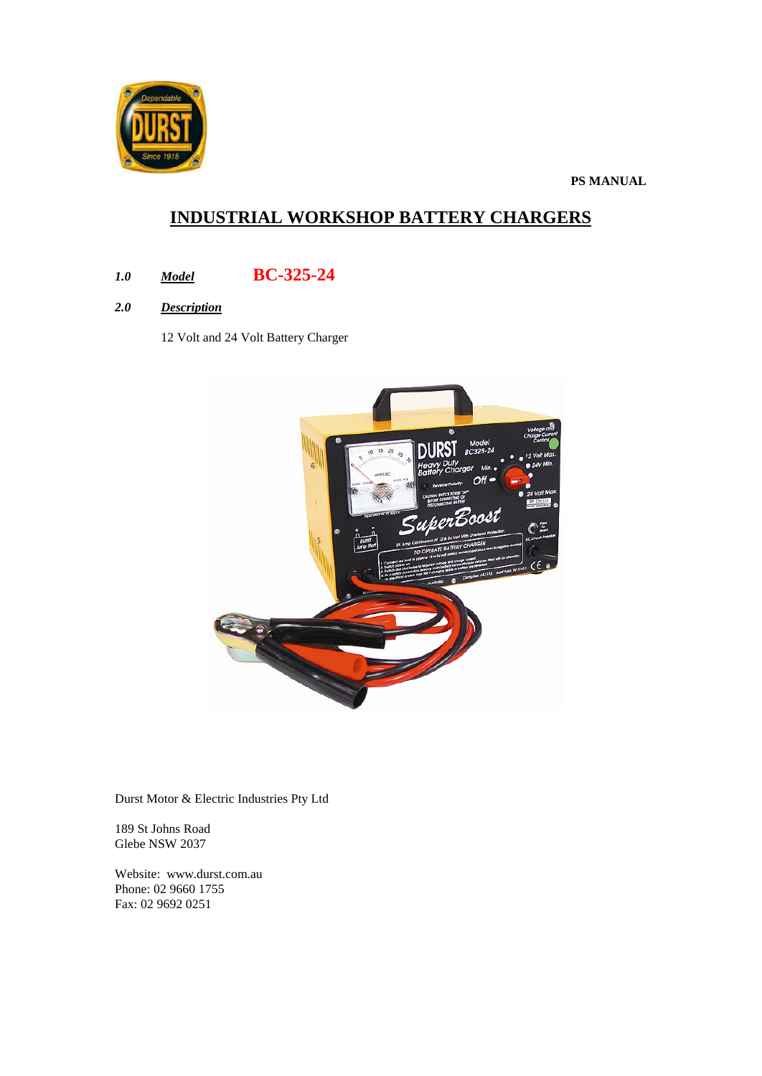

**PS MANUAL**

# **INDUSTRIAL WORKSHOP BATTERY CHARGERS**

- *1.0 Model* **BC-325-24**
- *2.0 Description*

12 Volt and 24 Volt Battery Charger



Durst Motor & Electric Industries Pty Ltd

189 St Johns Road Glebe NSW 2037

Website: www.durst.com.au Phone: 02 9660 1755 Fax: 02 9692 0251